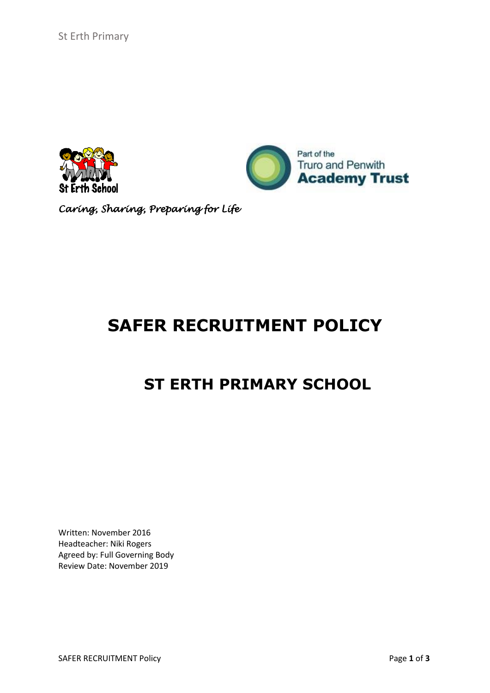



*Caring, Sharing, Preparing for Life*

# **SAFER RECRUITMENT POLICY**

## **ST ERTH PRIMARY SCHOOL**

Written: November 2016 Headteacher: Niki Rogers Agreed by: Full Governing Body Review Date: November 2019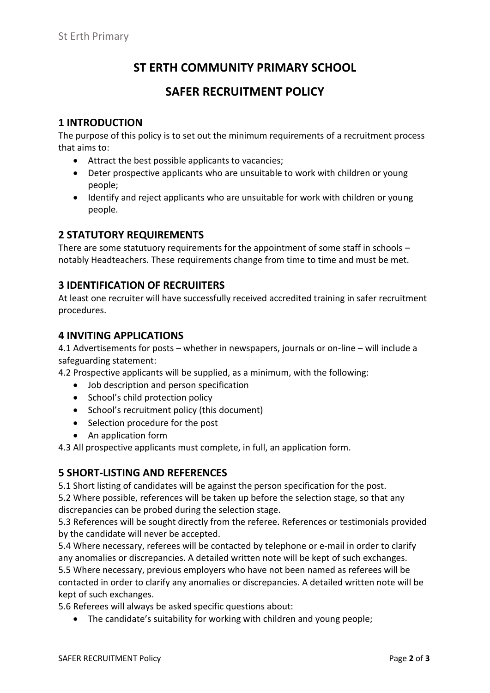## **ST ERTH COMMUNITY PRIMARY SCHOOL**

### **SAFER RECRUITMENT POLICY**

#### **1 INTRODUCTION**

The purpose of this policy is to set out the minimum requirements of a recruitment process that aims to:

- Attract the best possible applicants to vacancies;
- Deter prospective applicants who are unsuitable to work with children or young people;
- Identify and reject applicants who are unsuitable for work with children or young people.

#### **2 STATUTORY REQUIREMENTS**

There are some statutuory requirements for the appointment of some staff in schools – notably Headteachers. These requirements change from time to time and must be met.

#### **3 IDENTIFICATION OF RECRUIITERS**

At least one recruiter will have successfully received accredited training in safer recruitment procedures.

#### **4 INVITING APPLICATIONS**

4.1 Advertisements for posts – whether in newspapers, journals or on-line – will include a safeguarding statement:

4.2 Prospective applicants will be supplied, as a minimum, with the following:

- Job description and person specification
- School's child protection policy
- School's recruitment policy (this document)
- Selection procedure for the post
- An application form

4.3 All prospective applicants must complete, in full, an application form.

#### **5 SHORT-LISTING AND REFERENCES**

5.1 Short listing of candidates will be against the person specification for the post.

5.2 Where possible, references will be taken up before the selection stage, so that any discrepancies can be probed during the selection stage.

5.3 References will be sought directly from the referee. References or testimonials provided by the candidate will never be accepted.

5.4 Where necessary, referees will be contacted by telephone or e-mail in order to clarify any anomalies or discrepancies. A detailed written note will be kept of such exchanges. 5.5 Where necessary, previous employers who have not been named as referees will be contacted in order to clarify any anomalies or discrepancies. A detailed written note will be

kept of such exchanges.

5.6 Referees will always be asked specific questions about:

The candidate's suitability for working with children and young people;